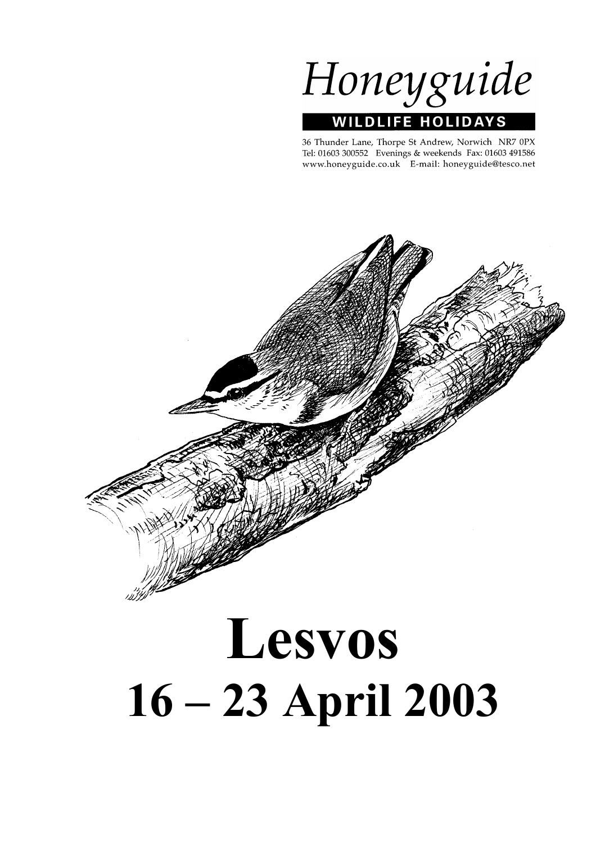

36 Thunder Lane, Thorpe St Andrew, Norwich NR7 0PX Tel: 01603 300552 Evenings & weekends Fax: 01603 491586 www.honeyguide.co.uk E-mail: honeyguide@tesco.net



# **Lesvos 16 – 23 April 2003**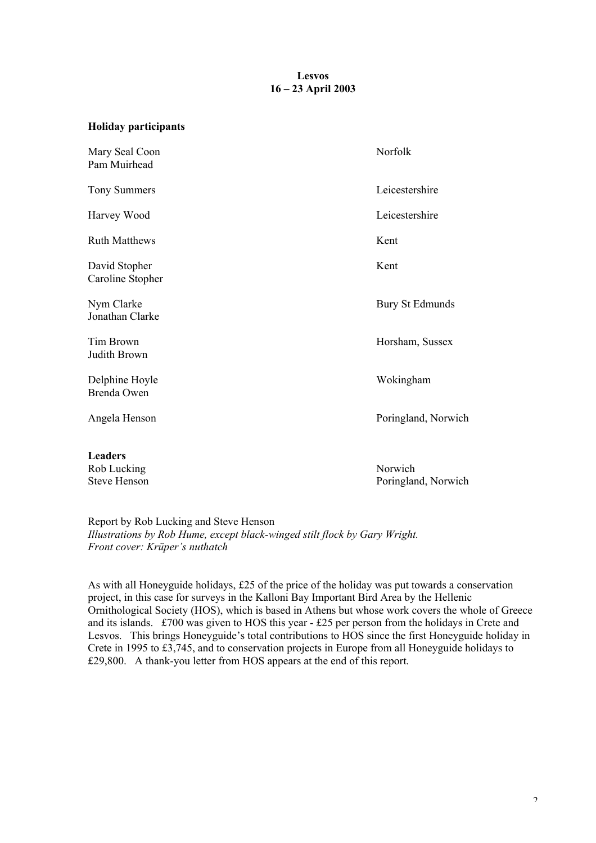# **Lesvos 16 – 23 April 2003**

# **Holiday participants**

| Mary Seal Coon<br>Pam Muirhead    | Norfolk             |
|-----------------------------------|---------------------|
| <b>Tony Summers</b>               | Leicestershire      |
| Harvey Wood                       | Leicestershire      |
| <b>Ruth Matthews</b>              | Kent                |
| David Stopher<br>Caroline Stopher | Kent                |
| Nym Clarke<br>Jonathan Clarke     | Bury St Edmunds     |
| Tim Brown<br>Judith Brown         | Horsham, Sussex     |
| Delphine Hoyle<br>Brenda Owen     | Wokingham           |
| Angela Henson                     | Poringland, Norwich |
| <b>Leaders</b><br>Rob Lucking     | Norwich             |
| <b>Steve Henson</b>               | Poringland, Norwich |

Report by Rob Lucking and Steve Henson *Illustrations by Rob Hume, except black-winged stilt flock by Gary Wright. Front cover: Krüper's nuthatch*

As with all Honeyguide holidays, £25 of the price of the holiday was put towards a conservation project, in this case for surveys in the Kalloni Bay Important Bird Area by the Hellenic Ornithological Society (HOS), which is based in Athens but whose work covers the whole of Greece and its islands. £700 was given to HOS this year - £25 per person from the holidays in Crete and Lesvos. This brings Honeyguide's total contributions to HOS since the first Honeyguide holiday in Crete in 1995 to £3,745, and to conservation projects in Europe from all Honeyguide holidays to £29,800. A thank-you letter from HOS appears at the end of this report.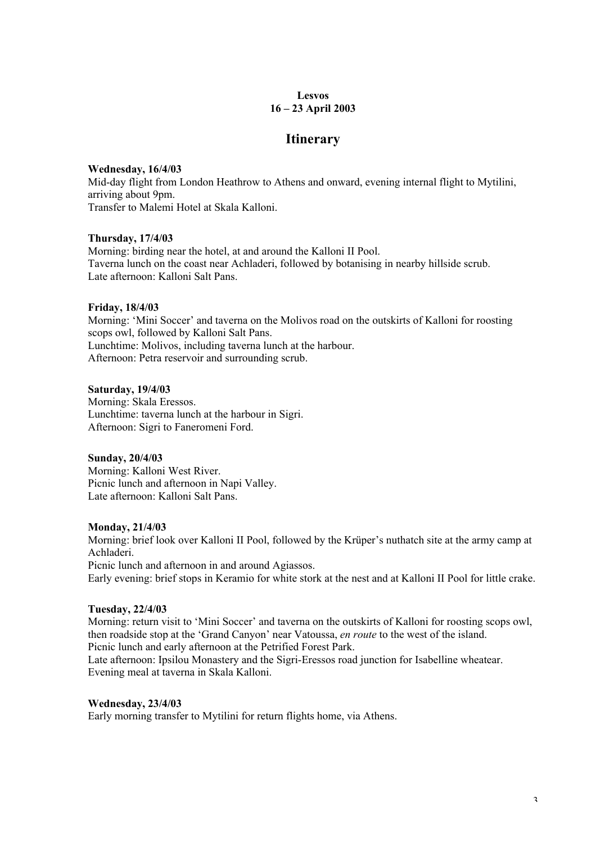# **Lesvos 16 – 23 April 2003**

# **Itinerary**

# **Wednesday, 16/4/03**

Mid-day flight from London Heathrow to Athens and onward, evening internal flight to Mytilini, arriving about 9pm. Transfer to Malemi Hotel at Skala Kalloni.

# **Thursday, 17/4/03**

Morning: birding near the hotel, at and around the Kalloni II Pool. Taverna lunch on the coast near Achladeri, followed by botanising in nearby hillside scrub. Late afternoon: Kalloni Salt Pans.

# **Friday, 18/4/03**

Morning: 'Mini Soccer' and taverna on the Molivos road on the outskirts of Kalloni for roosting scops owl, followed by Kalloni Salt Pans. Lunchtime: Molivos, including taverna lunch at the harbour. Afternoon: Petra reservoir and surrounding scrub.

# **Saturday, 19/4/03**

Morning: Skala Eressos. Lunchtime: taverna lunch at the harbour in Sigri. Afternoon: Sigri to Faneromeni Ford.

# **Sunday, 20/4/03**

Morning: Kalloni West River. Picnic lunch and afternoon in Napi Valley. Late afternoon: Kalloni Salt Pans.

# **Monday, 21/4/03**

Morning: brief look over Kalloni II Pool, followed by the Krüper's nuthatch site at the army camp at Achladeri.

Picnic lunch and afternoon in and around Agiassos. Early evening: brief stops in Keramio for white stork at the nest and at Kalloni II Pool for little crake.

# **Tuesday, 22/4/03**

Morning: return visit to 'Mini Soccer' and taverna on the outskirts of Kalloni for roosting scops owl, then roadside stop at the 'Grand Canyon' near Vatoussa, *en route* to the west of the island. Picnic lunch and early afternoon at the Petrified Forest Park.

Late afternoon: Ipsilou Monastery and the Sigri-Eressos road junction for Isabelline wheatear. Evening meal at taverna in Skala Kalloni.

# **Wednesday, 23/4/03**

Early morning transfer to Mytilini for return flights home, via Athens.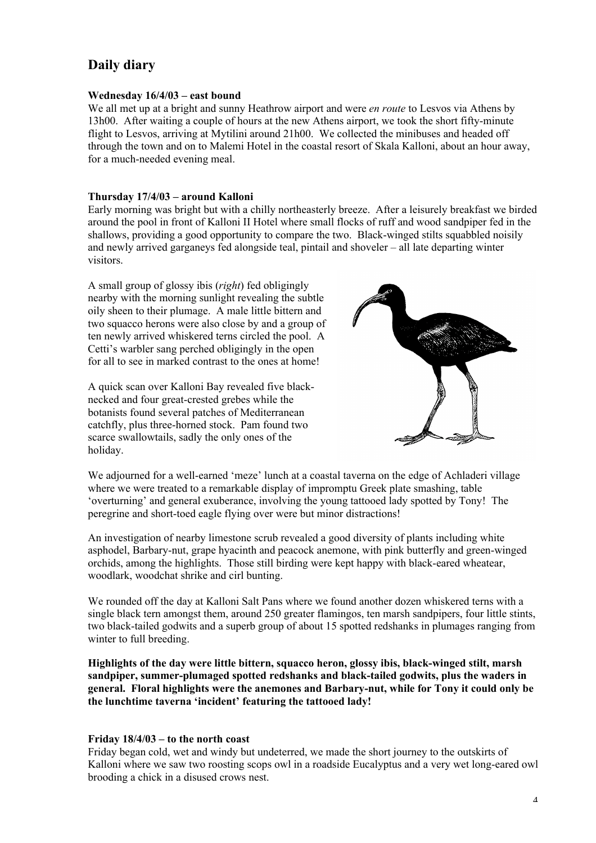# **Daily diary**

# **Wednesday 16/4/03 – east bound**

We all met up at a bright and sunny Heathrow airport and were *en route* to Lesvos via Athens by 13h00. After waiting a couple of hours at the new Athens airport, we took the short fifty-minute flight to Lesvos, arriving at Mytilini around 21h00. We collected the minibuses and headed off through the town and on to Malemi Hotel in the coastal resort of Skala Kalloni, about an hour away, for a much-needed evening meal.

# **Thursday 17/4/03 – around Kalloni**

Early morning was bright but with a chilly northeasterly breeze. After a leisurely breakfast we birded around the pool in front of Kalloni II Hotel where small flocks of ruff and wood sandpiper fed in the shallows, providing a good opportunity to compare the two. Black-winged stilts squabbled noisily and newly arrived garganeys fed alongside teal, pintail and shoveler – all late departing winter visitors.

A small group of glossy ibis (*right*) fed obligingly nearby with the morning sunlight revealing the subtle oily sheen to their plumage. A male little bittern and two squacco herons were also close by and a group of ten newly arrived whiskered terns circled the pool. A Cetti's warbler sang perched obligingly in the open for all to see in marked contrast to the ones at home!

A quick scan over Kalloni Bay revealed five blacknecked and four great-crested grebes while the botanists found several patches of Mediterranean catchfly, plus three-horned stock. Pam found two scarce swallowtails, sadly the only ones of the holiday.



We adjourned for a well-earned 'meze' lunch at a coastal taverna on the edge of Achladeri village where we were treated to a remarkable display of impromptu Greek plate smashing, table 'overturning' and general exuberance, involving the young tattooed lady spotted by Tony! The peregrine and short-toed eagle flying over were but minor distractions!

An investigation of nearby limestone scrub revealed a good diversity of plants including white asphodel, Barbary-nut, grape hyacinth and peacock anemone, with pink butterfly and green-winged orchids, among the highlights. Those still birding were kept happy with black-eared wheatear, woodlark, woodchat shrike and cirl bunting.

We rounded off the day at Kalloni Salt Pans where we found another dozen whiskered terns with a single black tern amongst them, around 250 greater flamingos, ten marsh sandpipers, four little stints, two black-tailed godwits and a superb group of about 15 spotted redshanks in plumages ranging from winter to full breeding.

**Highlights of the day were little bittern, squacco heron, glossy ibis, black-winged stilt, marsh sandpiper, summer-plumaged spotted redshanks and black-tailed godwits, plus the waders in general. Floral highlights were the anemones and Barbary-nut, while for Tony it could only be the lunchtime taverna 'incident' featuring the tattooed lady!**

# **Friday 18/4/03 – to the north coast**

Friday began cold, wet and windy but undeterred, we made the short journey to the outskirts of Kalloni where we saw two roosting scops owl in a roadside Eucalyptus and a very wet long-eared owl brooding a chick in a disused crows nest.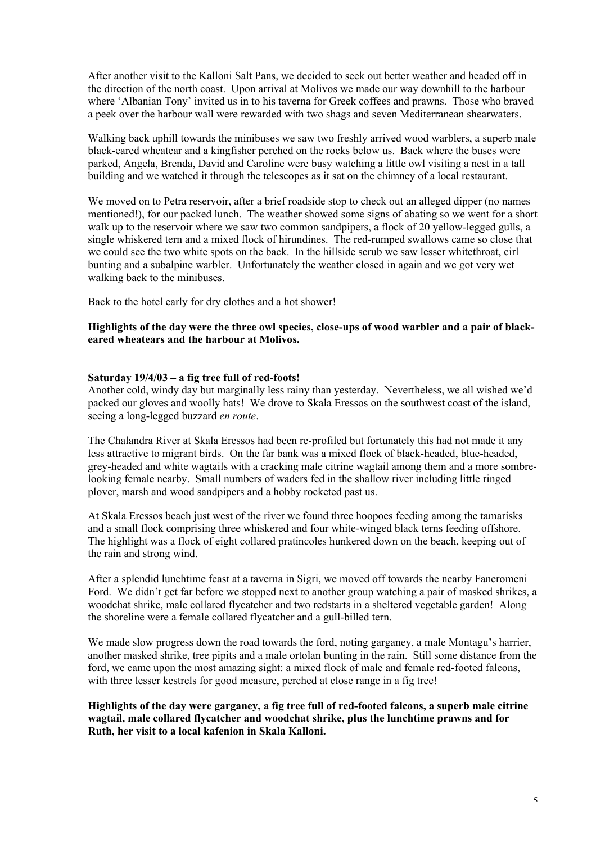After another visit to the Kalloni Salt Pans, we decided to seek out better weather and headed off in the direction of the north coast. Upon arrival at Molivos we made our way downhill to the harbour where 'Albanian Tony' invited us in to his taverna for Greek coffees and prawns. Those who braved a peek over the harbour wall were rewarded with two shags and seven Mediterranean shearwaters.

Walking back uphill towards the minibuses we saw two freshly arrived wood warblers, a superb male black-eared wheatear and a kingfisher perched on the rocks below us. Back where the buses were parked, Angela, Brenda, David and Caroline were busy watching a little owl visiting a nest in a tall building and we watched it through the telescopes as it sat on the chimney of a local restaurant.

We moved on to Petra reservoir, after a brief roadside stop to check out an alleged dipper (no names mentioned!), for our packed lunch. The weather showed some signs of abating so we went for a short walk up to the reservoir where we saw two common sandpipers, a flock of 20 yellow-legged gulls, a single whiskered tern and a mixed flock of hirundines. The red-rumped swallows came so close that we could see the two white spots on the back. In the hillside scrub we saw lesser whitethroat, cirl bunting and a subalpine warbler. Unfortunately the weather closed in again and we got very wet walking back to the minibuses.

Back to the hotel early for dry clothes and a hot shower!

# **Highlights of the day were the three owl species, close-ups of wood warbler and a pair of blackeared wheatears and the harbour at Molivos.**

### **Saturday 19/4/03 – a fig tree full of red-foots!**

Another cold, windy day but marginally less rainy than yesterday. Nevertheless, we all wished we'd packed our gloves and woolly hats! We drove to Skala Eressos on the southwest coast of the island, seeing a long-legged buzzard *en route*.

The Chalandra River at Skala Eressos had been re-profiled but fortunately this had not made it any less attractive to migrant birds. On the far bank was a mixed flock of black-headed, blue-headed, grey-headed and white wagtails with a cracking male citrine wagtail among them and a more sombrelooking female nearby. Small numbers of waders fed in the shallow river including little ringed plover, marsh and wood sandpipers and a hobby rocketed past us.

At Skala Eressos beach just west of the river we found three hoopoes feeding among the tamarisks and a small flock comprising three whiskered and four white-winged black terns feeding offshore. The highlight was a flock of eight collared pratincoles hunkered down on the beach, keeping out of the rain and strong wind.

After a splendid lunchtime feast at a taverna in Sigri, we moved off towards the nearby Faneromeni Ford. We didn't get far before we stopped next to another group watching a pair of masked shrikes, a woodchat shrike, male collared flycatcher and two redstarts in a sheltered vegetable garden! Along the shoreline were a female collared flycatcher and a gull-billed tern.

We made slow progress down the road towards the ford, noting garganey, a male Montagu's harrier, another masked shrike, tree pipits and a male ortolan bunting in the rain. Still some distance from the ford, we came upon the most amazing sight: a mixed flock of male and female red-footed falcons, with three lesser kestrels for good measure, perched at close range in a fig tree!

**Highlights of the day were garganey, a fig tree full of red-footed falcons, a superb male citrine wagtail, male collared flycatcher and woodchat shrike, plus the lunchtime prawns and for Ruth, her visit to a local kafenion in Skala Kalloni.**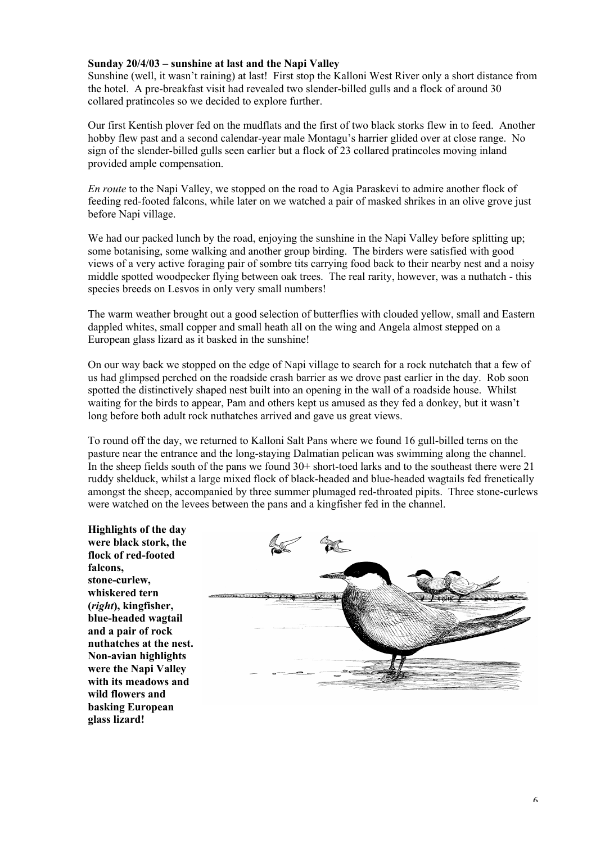### **Sunday 20/4/03 – sunshine at last and the Napi Valley**

Sunshine (well, it wasn't raining) at last! First stop the Kalloni West River only a short distance from the hotel. A pre-breakfast visit had revealed two slender-billed gulls and a flock of around 30 collared pratincoles so we decided to explore further.

Our first Kentish plover fed on the mudflats and the first of two black storks flew in to feed. Another hobby flew past and a second calendar-year male Montagu's harrier glided over at close range. No sign of the slender-billed gulls seen earlier but a flock of 23 collared pratincoles moving inland provided ample compensation.

*En route* to the Napi Valley, we stopped on the road to Agia Paraskevi to admire another flock of feeding red-footed falcons, while later on we watched a pair of masked shrikes in an olive grove just before Napi village.

We had our packed lunch by the road, enjoying the sunshine in the Napi Valley before splitting up; some botanising, some walking and another group birding. The birders were satisfied with good views of a very active foraging pair of sombre tits carrying food back to their nearby nest and a noisy middle spotted woodpecker flying between oak trees. The real rarity, however, was a nuthatch - this species breeds on Lesvos in only very small numbers!

The warm weather brought out a good selection of butterflies with clouded yellow, small and Eastern dappled whites, small copper and small heath all on the wing and Angela almost stepped on a European glass lizard as it basked in the sunshine!

On our way back we stopped on the edge of Napi village to search for a rock nutchatch that a few of us had glimpsed perched on the roadside crash barrier as we drove past earlier in the day. Rob soon spotted the distinctively shaped nest built into an opening in the wall of a roadside house. Whilst waiting for the birds to appear, Pam and others kept us amused as they fed a donkey, but it wasn't long before both adult rock nuthatches arrived and gave us great views.

To round off the day, we returned to Kalloni Salt Pans where we found 16 gull-billed terns on the pasture near the entrance and the long-staying Dalmatian pelican was swimming along the channel. In the sheep fields south of the pans we found 30+ short-toed larks and to the southeast there were 21 ruddy shelduck, whilst a large mixed flock of black-headed and blue-headed wagtails fed frenetically amongst the sheep, accompanied by three summer plumaged red-throated pipits. Three stone-curlews were watched on the levees between the pans and a kingfisher fed in the channel.

**Highlights of the day were black stork, the flock of red-footed falcons, stone-curlew, whiskered tern (***right***), kingfisher, blue-headed wagtail and a pair of rock nuthatches at the nest. Non-avian highlights were the Napi Valley with its meadows and wild flowers and basking European glass lizard!**

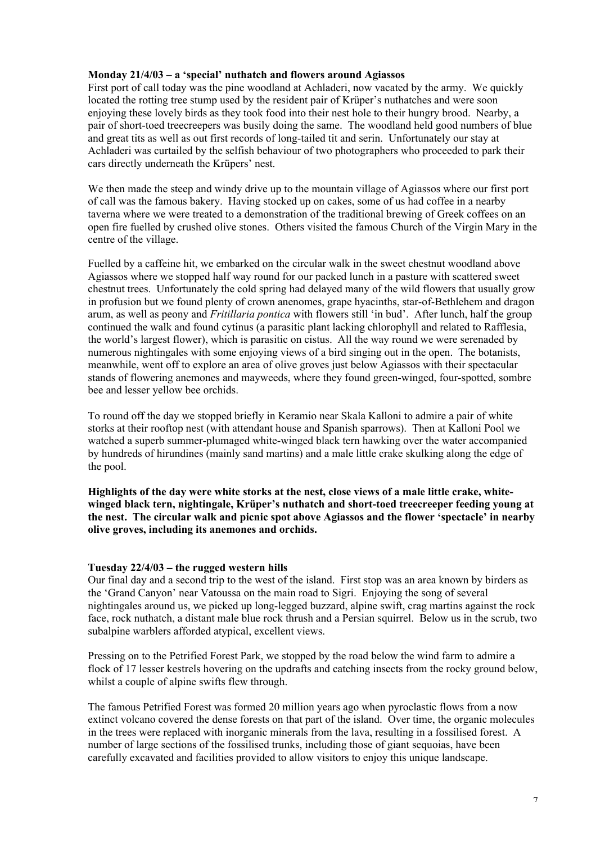# **Monday 21/4/03 – a 'special' nuthatch and flowers around Agiassos**

First port of call today was the pine woodland at Achladeri, now vacated by the army. We quickly located the rotting tree stump used by the resident pair of Krüper's nuthatches and were soon enjoying these lovely birds as they took food into their nest hole to their hungry brood. Nearby, a pair of short-toed treecreepers was busily doing the same. The woodland held good numbers of blue and great tits as well as out first records of long-tailed tit and serin. Unfortunately our stay at Achladeri was curtailed by the selfish behaviour of two photographers who proceeded to park their cars directly underneath the Krüpers' nest.

We then made the steep and windy drive up to the mountain village of Agiassos where our first port of call was the famous bakery. Having stocked up on cakes, some of us had coffee in a nearby taverna where we were treated to a demonstration of the traditional brewing of Greek coffees on an open fire fuelled by crushed olive stones. Others visited the famous Church of the Virgin Mary in the centre of the village.

Fuelled by a caffeine hit, we embarked on the circular walk in the sweet chestnut woodland above Agiassos where we stopped half way round for our packed lunch in a pasture with scattered sweet chestnut trees. Unfortunately the cold spring had delayed many of the wild flowers that usually grow in profusion but we found plenty of crown anenomes, grape hyacinths, star-of-Bethlehem and dragon arum, as well as peony and *Fritillaria pontica* with flowers still 'in bud'. After lunch, half the group continued the walk and found cytinus (a parasitic plant lacking chlorophyll and related to Rafflesia, the world's largest flower), which is parasitic on cistus. All the way round we were serenaded by numerous nightingales with some enjoying views of a bird singing out in the open. The botanists, meanwhile, went off to explore an area of olive groves just below Agiassos with their spectacular stands of flowering anemones and mayweeds, where they found green-winged, four-spotted, sombre bee and lesser yellow bee orchids.

To round off the day we stopped briefly in Keramio near Skala Kalloni to admire a pair of white storks at their rooftop nest (with attendant house and Spanish sparrows). Then at Kalloni Pool we watched a superb summer-plumaged white-winged black tern hawking over the water accompanied by hundreds of hirundines (mainly sand martins) and a male little crake skulking along the edge of the pool.

**Highlights of the day were white storks at the nest, close views of a male little crake, whitewinged black tern, nightingale, Krüper's nuthatch and short-toed treecreeper feeding young at the nest. The circular walk and picnic spot above Agiassos and the flower 'spectacle' in nearby olive groves, including its anemones and orchids.**

# **Tuesday 22/4/03 – the rugged western hills**

Our final day and a second trip to the west of the island. First stop was an area known by birders as the 'Grand Canyon' near Vatoussa on the main road to Sigri. Enjoying the song of several nightingales around us, we picked up long-legged buzzard, alpine swift, crag martins against the rock face, rock nuthatch, a distant male blue rock thrush and a Persian squirrel. Below us in the scrub, two subalpine warblers afforded atypical, excellent views.

Pressing on to the Petrified Forest Park, we stopped by the road below the wind farm to admire a flock of 17 lesser kestrels hovering on the updrafts and catching insects from the rocky ground below, whilst a couple of alpine swifts flew through.

The famous Petrified Forest was formed 20 million years ago when pyroclastic flows from a now extinct volcano covered the dense forests on that part of the island. Over time, the organic molecules in the trees were replaced with inorganic minerals from the lava, resulting in a fossilised forest. A number of large sections of the fossilised trunks, including those of giant sequoias, have been carefully excavated and facilities provided to allow visitors to enjoy this unique landscape.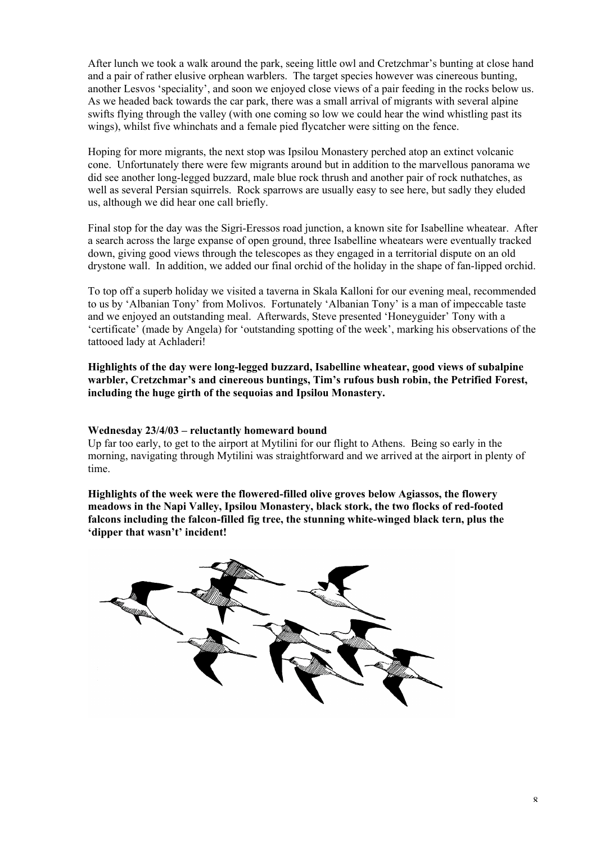After lunch we took a walk around the park, seeing little owl and Cretzchmar's bunting at close hand and a pair of rather elusive orphean warblers. The target species however was cinereous bunting, another Lesvos 'speciality', and soon we enjoyed close views of a pair feeding in the rocks below us. As we headed back towards the car park, there was a small arrival of migrants with several alpine swifts flying through the valley (with one coming so low we could hear the wind whistling past its wings), whilst five whinchats and a female pied flycatcher were sitting on the fence.

Hoping for more migrants, the next stop was Ipsilou Monastery perched atop an extinct volcanic cone. Unfortunately there were few migrants around but in addition to the marvellous panorama we did see another long-legged buzzard, male blue rock thrush and another pair of rock nuthatches, as well as several Persian squirrels. Rock sparrows are usually easy to see here, but sadly they eluded us, although we did hear one call briefly.

Final stop for the day was the Sigri-Eressos road junction, a known site for Isabelline wheatear. After a search across the large expanse of open ground, three Isabelline wheatears were eventually tracked down, giving good views through the telescopes as they engaged in a territorial dispute on an old drystone wall. In addition, we added our final orchid of the holiday in the shape of fan-lipped orchid.

To top off a superb holiday we visited a taverna in Skala Kalloni for our evening meal, recommended to us by 'Albanian Tony' from Molivos. Fortunately 'Albanian Tony' is a man of impeccable taste and we enjoyed an outstanding meal. Afterwards, Steve presented 'Honeyguider' Tony with a 'certificate' (made by Angela) for 'outstanding spotting of the week', marking his observations of the tattooed lady at Achladeri!

**Highlights of the day were long-legged buzzard, Isabelline wheatear, good views of subalpine warbler, Cretzchmar's and cinereous buntings, Tim's rufous bush robin, the Petrified Forest, including the huge girth of the sequoias and Ipsilou Monastery.**

# **Wednesday 23/4/03 – reluctantly homeward bound**

Up far too early, to get to the airport at Mytilini for our flight to Athens. Being so early in the morning, navigating through Mytilini was straightforward and we arrived at the airport in plenty of time.

**Highlights of the week were the flowered-filled olive groves below Agiassos, the flowery meadows in the Napi Valley, Ipsilou Monastery, black stork, the two flocks of red-footed falcons including the falcon-filled fig tree, the stunning white-winged black tern, plus the 'dipper that wasn't' incident!**

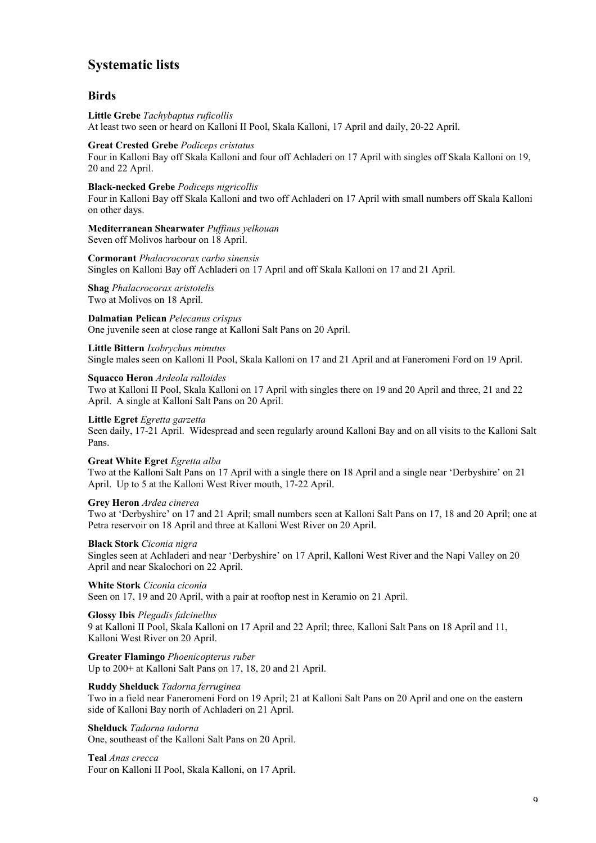# **Systematic lists**

# **Birds**

**Little Grebe** *Tachybaptus ruficollis* At least two seen or heard on Kalloni II Pool, Skala Kalloni, 17 April and daily, 20-22 April.

### **Great Crested Grebe** *Podiceps cristatus*

Four in Kalloni Bay off Skala Kalloni and four off Achladeri on 17 April with singles off Skala Kalloni on 19, 20 and 22 April.

### **Black-necked Grebe** *Podiceps nigricollis*

Four in Kalloni Bay off Skala Kalloni and two off Achladeri on 17 April with small numbers off Skala Kalloni on other days.

### **Mediterranean Shearwater** *Puffinus yelkouan* Seven off Molivos harbour on 18 April.

**Cormorant** *Phalacrocorax carbo sinensis* Singles on Kalloni Bay off Achladeri on 17 April and off Skala Kalloni on 17 and 21 April.

**Shag** *Phalacrocorax aristotelis* Two at Molivos on 18 April.

**Dalmatian Pelican** *Pelecanus crispus* One juvenile seen at close range at Kalloni Salt Pans on 20 April.

### **Little Bittern** *Ixobrychus minutus* Single males seen on Kalloni II Pool, Skala Kalloni on 17 and 21 April and at Faneromeni Ford on 19 April.

### **Squacco Heron** *Ardeola ralloides*

Two at Kalloni II Pool, Skala Kalloni on 17 April with singles there on 19 and 20 April and three, 21 and 22 April. A single at Kalloni Salt Pans on 20 April.

### **Little Egret** *Egretta garzetta*

Seen daily, 17-21 April. Widespread and seen regularly around Kalloni Bay and on all visits to the Kalloni Salt Pans.

### **Great White Egret** *Egretta alba*

Two at the Kalloni Salt Pans on 17 April with a single there on 18 April and a single near 'Derbyshire' on 21 April. Up to 5 at the Kalloni West River mouth, 17-22 April.

### **Grey Heron** *Ardea cinerea*

Two at 'Derbyshire' on 17 and 21 April; small numbers seen at Kalloni Salt Pans on 17, 18 and 20 April; one at Petra reservoir on 18 April and three at Kalloni West River on 20 April.

### **Black Stork** *Ciconia nigra*

Singles seen at Achladeri and near 'Derbyshire' on 17 April, Kalloni West River and the Napi Valley on 20 April and near Skalochori on 22 April.

# **White Stork** *Ciconia ciconia*

Seen on 17, 19 and 20 April, with a pair at rooftop nest in Keramio on 21 April.

### **Glossy Ibis** *Plegadis falcinellus*

9 at Kalloni II Pool, Skala Kalloni on 17 April and 22 April; three, Kalloni Salt Pans on 18 April and 11, Kalloni West River on 20 April.

### **Greater Flamingo** *Phoenicopterus ruber* Up to 200+ at Kalloni Salt Pans on 17, 18, 20 and 21 April.

**Ruddy Shelduck** *Tadorna ferruginea*

Two in a field near Faneromeni Ford on 19 April; 21 at Kalloni Salt Pans on 20 April and one on the eastern side of Kalloni Bay north of Achladeri on 21 April.

# **Shelduck** *Tadorna tadorna*

One, southeast of the Kalloni Salt Pans on 20 April.

**Teal** *Anas crecca* Four on Kalloni II Pool, Skala Kalloni, on 17 April.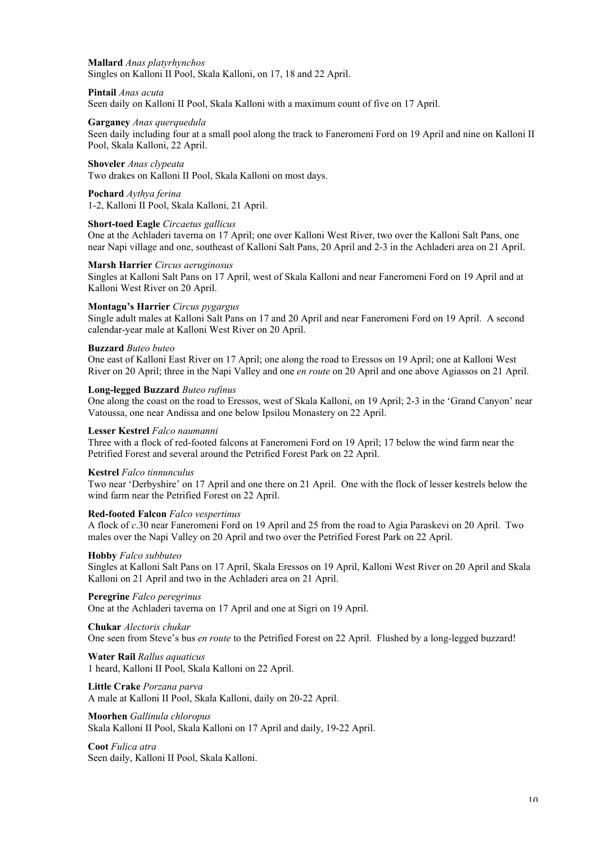**Mallard** *Anas platyrhynchos* Singles on Kalloni II Pool, Skala Kalloni, on 17, 18 and 22 April.

### **Pintail** *Anas acuta*

Seen daily on Kalloni II Pool, Skala Kalloni with a maximum count of five on 17 April.

### **Garganey** *Anas querquedula*

Seen daily including four at a small pool along the track to Faneromeni Ford on 19 April and nine on Kalloni II Pool, Skala Kalloni, 22 April.

### **Shoveler** *Anas clypeata*

Two drakes on Kalloni II Pool, Skala Kalloni on most days.

**Pochard** *Aythya ferina* 1-2, Kalloni II Pool, Skala Kalloni, 21 April.

### **Short-toed Eagle** *Circaetus gallicus*

One at the Achladeri taverna on 17 April; one over Kalloni West River, two over the Kalloni Salt Pans, one near Napi village and one, southeast of Kalloni Salt Pans, 20 April and 2-3 in the Achladeri area on 21 April.

### **Marsh Harrier** *Circus aeruginosus*

Singles at Kalloni Salt Pans on 17 April, west of Skala Kalloni and near Faneromeni Ford on 19 April and at Kalloni West River on 20 April.

### **Montagu's Harrier** *Circus pygargus*

Single adult males at Kalloni Salt Pans on 17 and 20 April and near Faneromeni Ford on 19 April. A second calendar-year male at Kalloni West River on 20 April.

### **Buzzard** *Buteo buteo*

One east of Kalloni East River on 17 April; one along the road to Eressos on 19 April; one at Kalloni West River on 20 April; three in the Napi Valley and one *en route* on 20 April and one above Agiassos on 21 April.

### **Long-legged Buzzard** *Buteo rufinus*

One along the coast on the road to Eressos, west of Skala Kalloni, on 19 April; 2-3 in the 'Grand Canyon' near Vatoussa, one near Andissa and one below Ipsilou Monastery on 22 April.

### **Lesser Kestrel** *Falco naumanni*

Three with a flock of red-footed falcons at Faneromeni Ford on 19 April; 17 below the wind farm near the Petrified Forest and several around the Petrified Forest Park on 22 April.

### **Kestrel** *Falco tinnunculus*

Two near 'Derbyshire' on 17 April and one there on 21 April. One with the flock of lesser kestrels below the wind farm near the Petrified Forest on 22 April.

### **Red-footed Falcon** *Falco vespertinus*

A flock of *c*.30 near Faneromeni Ford on 19 April and 25 from the road to Agia Paraskevi on 20 April. Two males over the Napi Valley on 20 April and two over the Petrified Forest Park on 22 April.

### **Hobby** *Falco subbuteo*

Singles at Kalloni Salt Pans on 17 April, Skala Eressos on 19 April, Kalloni West River on 20 April and Skala Kalloni on 21 April and two in the Achladeri area on 21 April.

# **Peregrine** *Falco peregrinus*

One at the Achladeri taverna on 17 April and one at Sigri on 19 April.

### **Chukar** *Alectoris chukar*

One seen from Steve's bus *en route* to the Petrified Forest on 22 April. Flushed by a long-legged buzzard!

### **Water Rail** *Rallus aquaticus*

1 heard, Kalloni II Pool, Skala Kalloni on 22 April.

# **Little Crake** *Porzana parva*

A male at Kalloni II Pool, Skala Kalloni, daily on 20-22 April.

### **Moorhen** *Gallinula chloropus*

Skala Kalloni II Pool, Skala Kalloni on 17 April and daily, 19-22 April.

**Coot** *Fulica atra* Seen daily, Kalloni II Pool, Skala Kalloni.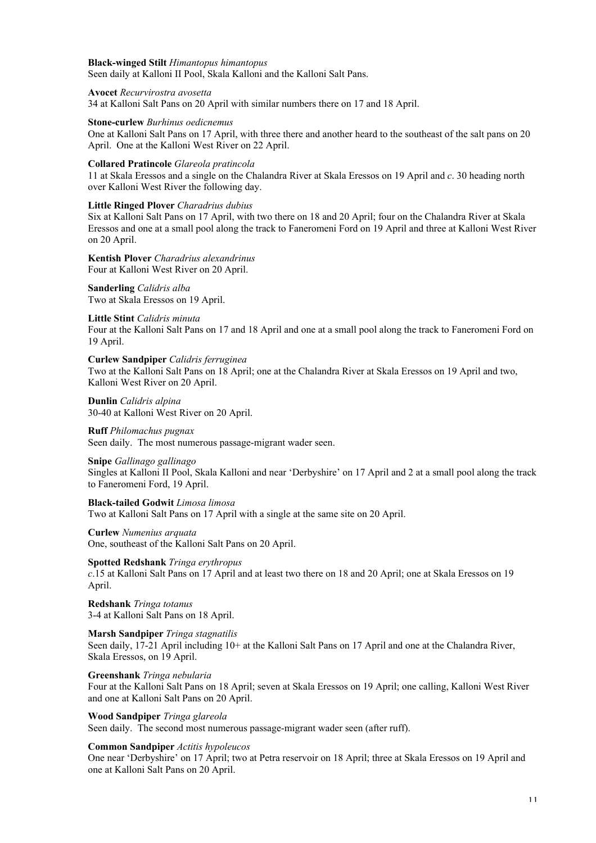### **Black-winged Stilt** *Himantopus himantopus*

Seen daily at Kalloni II Pool, Skala Kalloni and the Kalloni Salt Pans.

### **Avocet** *Recurvirostra avosetta*

34 at Kalloni Salt Pans on 20 April with similar numbers there on 17 and 18 April.

### **Stone-curlew** *Burhinus oedicnemus*

One at Kalloni Salt Pans on 17 April, with three there and another heard to the southeast of the salt pans on 20 April. One at the Kalloni West River on 22 April.

#### **Collared Pratincole** *Glareola pratincola*

11 at Skala Eressos and a single on the Chalandra River at Skala Eressos on 19 April and *c*. 30 heading north over Kalloni West River the following day.

### **Little Ringed Plover** *Charadrius dubius*

Six at Kalloni Salt Pans on 17 April, with two there on 18 and 20 April; four on the Chalandra River at Skala Eressos and one at a small pool along the track to Faneromeni Ford on 19 April and three at Kalloni West River on 20 April.

# **Kentish Plover** *Charadrius alexandrinus*

Four at Kalloni West River on 20 April.

**Sanderling** *Calidris alba* Two at Skala Eressos on 19 April.

#### **Little Stint** *Calidris minuta*

Four at the Kalloni Salt Pans on 17 and 18 April and one at a small pool along the track to Faneromeni Ford on 19 April.

### **Curlew Sandpiper** *Calidris ferruginea*

Two at the Kalloni Salt Pans on 18 April; one at the Chalandra River at Skala Eressos on 19 April and two, Kalloni West River on 20 April.

**Dunlin** *Calidris alpina* 30-40 at Kalloni West River on 20 April.

### **Ruff** *Philomachus pugnax*

Seen daily. The most numerous passage-migrant wader seen.

#### **Snipe** *Gallinago gallinago*

Singles at Kalloni II Pool, Skala Kalloni and near 'Derbyshire' on 17 April and 2 at a small pool along the track to Faneromeni Ford, 19 April.

# **Black-tailed Godwit** *Limosa limosa*

Two at Kalloni Salt Pans on 17 April with a single at the same site on 20 April.

### **Curlew** *Numenius arquata*

One, southeast of the Kalloni Salt Pans on 20 April.

# **Spotted Redshank** *Tringa erythropus*

*c*.15 at Kalloni Salt Pans on 17 April and at least two there on 18 and 20 April; one at Skala Eressos on 19 April.

**Redshank** *Tringa totanus* 3-4 at Kalloni Salt Pans on 18 April.

#### **Marsh Sandpiper** *Tringa stagnatilis*

Seen daily, 17-21 April including 10+ at the Kalloni Salt Pans on 17 April and one at the Chalandra River, Skala Eressos, on 19 April.

### **Greenshank** *Tringa nebularia*

Four at the Kalloni Salt Pans on 18 April; seven at Skala Eressos on 19 April; one calling, Kalloni West River and one at Kalloni Salt Pans on 20 April.

### **Wood Sandpiper** *Tringa glareola*

Seen daily. The second most numerous passage-migrant wader seen (after ruff).

#### **Common Sandpiper** *Actitis hypoleucos*

One near 'Derbyshire' on 17 April; two at Petra reservoir on 18 April; three at Skala Eressos on 19 April and one at Kalloni Salt Pans on 20 April.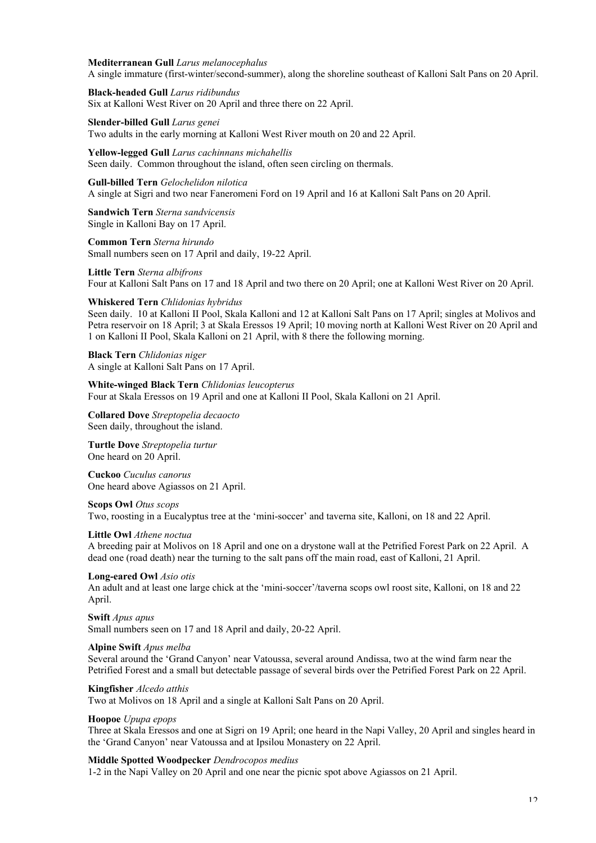### **Mediterranean Gull** *Larus melanocephalus*

A single immature (first-winter/second-summer), along the shoreline southeast of Kalloni Salt Pans on 20 April.

**Black-headed Gull** *Larus ridibundus* Six at Kalloni West River on 20 April and three there on 22 April.

### **Slender-billed Gull** *Larus genei*

Two adults in the early morning at Kalloni West River mouth on 20 and 22 April.

### **Yellow-legged Gull** *Larus cachinnans michahellis*

Seen daily. Common throughout the island, often seen circling on thermals.

### **Gull-billed Tern** *Gelochelidon nilotica*

A single at Sigri and two near Faneromeni Ford on 19 April and 16 at Kalloni Salt Pans on 20 April.

### **Sandwich Tern** *Sterna sandvicensis* Single in Kalloni Bay on 17 April.

**Common Tern** *Sterna hirundo* Small numbers seen on 17 April and daily, 19-22 April.

# **Little Tern** *Sterna albifrons*

Four at Kalloni Salt Pans on 17 and 18 April and two there on 20 April; one at Kalloni West River on 20 April.

### **Whiskered Tern** *Chlidonias hybridus*

Seen daily. 10 at Kalloni II Pool, Skala Kalloni and 12 at Kalloni Salt Pans on 17 April; singles at Molivos and Petra reservoir on 18 April; 3 at Skala Eressos 19 April; 10 moving north at Kalloni West River on 20 April and 1 on Kalloni II Pool, Skala Kalloni on 21 April, with 8 there the following morning.

**Black Tern** *Chlidonias niger* A single at Kalloni Salt Pans on 17 April.

# **White-winged Black Tern** *Chlidonias leucopterus*

Four at Skala Eressos on 19 April and one at Kalloni II Pool, Skala Kalloni on 21 April.

**Collared Dove** *Streptopelia decaocto* Seen daily, throughout the island.

**Turtle Dove** *Streptopelia turtur* One heard on 20 April.

**Cuckoo** *Cuculus canorus* One heard above Agiassos on 21 April.

### **Scops Owl** *Otus scops*

Two, roosting in a Eucalyptus tree at the 'mini-soccer' and taverna site, Kalloni, on 18 and 22 April.

### **Little Owl** *Athene noctua*

A breeding pair at Molivos on 18 April and one on a drystone wall at the Petrified Forest Park on 22 April. A dead one (road death) near the turning to the salt pans off the main road, east of Kalloni, 21 April.

### **Long-eared Owl** *Asio otis*

An adult and at least one large chick at the 'mini-soccer'/taverna scops owl roost site, Kalloni, on 18 and 22 April.

### **Swift** *Apus apus* Small numbers seen on 17 and 18 April and daily, 20-22 April.

### **Alpine Swift** *Apus melba*

Several around the 'Grand Canyon' near Vatoussa, several around Andissa, two at the wind farm near the Petrified Forest and a small but detectable passage of several birds over the Petrified Forest Park on 22 April.

### **Kingfisher** *Alcedo atthis*

Two at Molivos on 18 April and a single at Kalloni Salt Pans on 20 April.

### **Hoopoe** *Upupa epops*

Three at Skala Eressos and one at Sigri on 19 April; one heard in the Napi Valley, 20 April and singles heard in the 'Grand Canyon' near Vatoussa and at Ipsilou Monastery on 22 April.

### **Middle Spotted Woodpecker** *Dendrocopos medius*

1-2 in the Napi Valley on 20 April and one near the picnic spot above Agiassos on 21 April.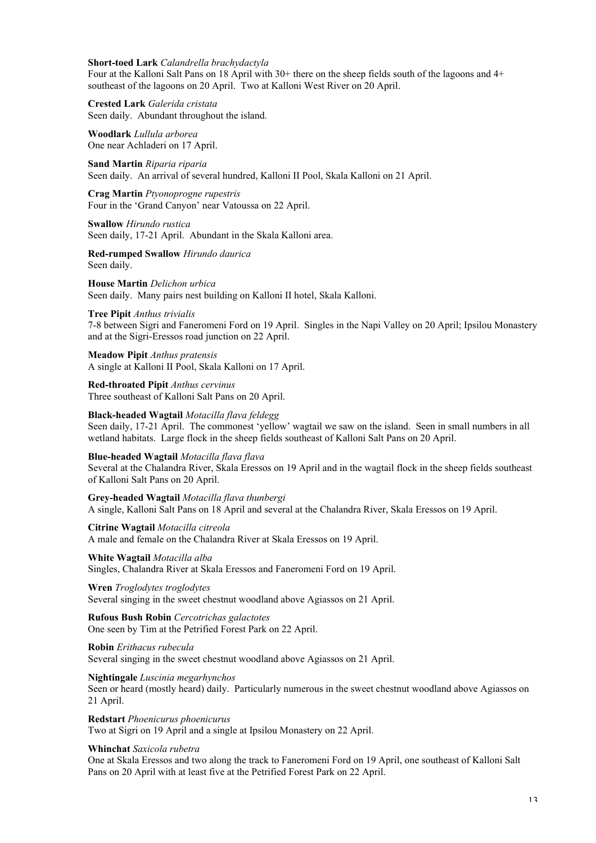### **Short-toed Lark** *Calandrella brachydactyla*

Four at the Kalloni Salt Pans on 18 April with 30+ there on the sheep fields south of the lagoons and 4+ southeast of the lagoons on 20 April. Two at Kalloni West River on 20 April.

**Crested Lark** *Galerida cristata* Seen daily. Abundant throughout the island.

**Woodlark** *Lullula arborea* One near Achladeri on 17 April.

**Sand Martin** *Riparia riparia* Seen daily. An arrival of several hundred, Kalloni II Pool, Skala Kalloni on 21 April.

**Crag Martin** *Ptyonoprogne rupestris* Four in the 'Grand Canyon' near Vatoussa on 22 April.

**Swallow** *Hirundo rustica* Seen daily, 17-21 April. Abundant in the Skala Kalloni area.

**Red-rumped Swallow** *Hirundo daurica* Seen daily.

**House Martin** *Delichon urbica* Seen daily. Many pairs nest building on Kalloni II hotel, Skala Kalloni.

**Tree Pipit** *Anthus trivialis*

7-8 between Sigri and Faneromeni Ford on 19 April. Singles in the Napi Valley on 20 April; Ipsilou Monastery and at the Sigri-Eressos road junction on 22 April.

**Meadow Pipit** *Anthus pratensis*

A single at Kalloni II Pool, Skala Kalloni on 17 April.

**Red-throated Pipit** *Anthus cervinus*

Three southeast of Kalloni Salt Pans on 20 April.

# **Black-headed Wagtail** *Motacilla flava feldegg*

Seen daily, 17-21 April. The commonest 'yellow' wagtail we saw on the island. Seen in small numbers in all wetland habitats. Large flock in the sheep fields southeast of Kalloni Salt Pans on 20 April.

**Blue-headed Wagtail** *Motacilla flava flava*

Several at the Chalandra River, Skala Eressos on 19 April and in the wagtail flock in the sheep fields southeast of Kalloni Salt Pans on 20 April.

**Grey-headed Wagtail** *Motacilla flava thunbergi* A single, Kalloni Salt Pans on 18 April and several at the Chalandra River, Skala Eressos on 19 April.

**Citrine Wagtail** *Motacilla citreola* A male and female on the Chalandra River at Skala Eressos on 19 April.

**White Wagtail** *Motacilla alba* Singles, Chalandra River at Skala Eressos and Faneromeni Ford on 19 April.

**Wren** *Troglodytes troglodytes* Several singing in the sweet chestnut woodland above Agiassos on 21 April.

**Rufous Bush Robin** *Cercotrichas galactotes* One seen by Tim at the Petrified Forest Park on 22 April.

**Robin** *Erithacus rubecula*

Several singing in the sweet chestnut woodland above Agiassos on 21 April.

**Nightingale** *Luscinia megarhynchos*

Seen or heard (mostly heard) daily. Particularly numerous in the sweet chestnut woodland above Agiassos on 21 April.

**Redstart** *Phoenicurus phoenicurus*

Two at Sigri on 19 April and a single at Ipsilou Monastery on 22 April.

### **Whinchat** *Saxicola rubetra*

One at Skala Eressos and two along the track to Faneromeni Ford on 19 April, one southeast of Kalloni Salt Pans on 20 April with at least five at the Petrified Forest Park on 22 April.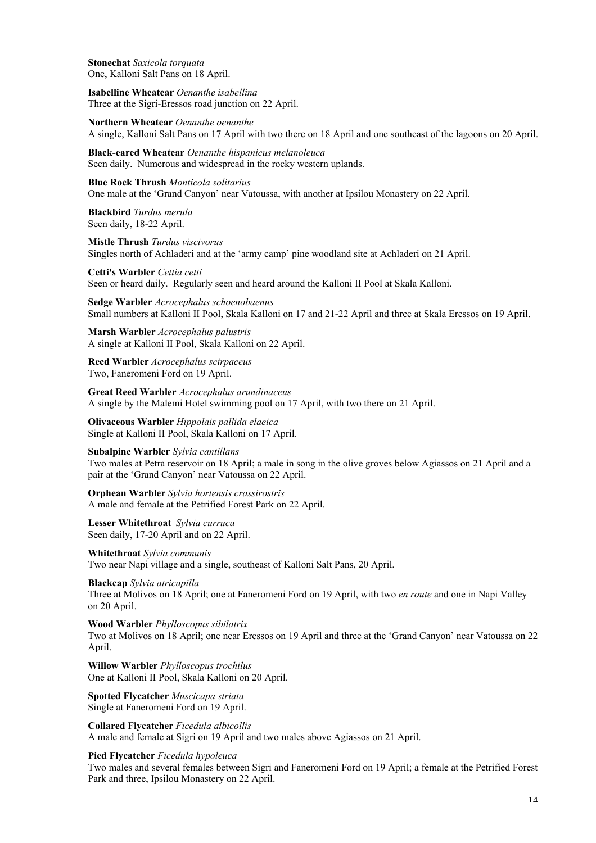**Stonechat** *Saxicola torquata* One, Kalloni Salt Pans on 18 April.

**Isabelline Wheatear** *Oenanthe isabellina* Three at the Sigri-Eressos road junction on 22 April.

**Northern Wheatear** *Oenanthe oenanthe*

A single, Kalloni Salt Pans on 17 April with two there on 18 April and one southeast of the lagoons on 20 April.

**Black-eared Wheatear** *Oenanthe hispanicus melanoleuca* Seen daily. Numerous and widespread in the rocky western uplands.

**Blue Rock Thrush** *Monticola solitarius* One male at the 'Grand Canyon' near Vatoussa, with another at Ipsilou Monastery on 22 April.

**Blackbird** *Turdus merula* Seen daily, 18-22 April.

**Mistle Thrush** *Turdus viscivorus* Singles north of Achladeri and at the 'army camp' pine woodland site at Achladeri on 21 April.

**Cetti's Warbler** *Cettia cetti* Seen or heard daily. Regularly seen and heard around the Kalloni II Pool at Skala Kalloni.

**Sedge Warbler** *Acrocephalus schoenobaenus* Small numbers at Kalloni II Pool, Skala Kalloni on 17 and 21-22 April and three at Skala Eressos on 19 April.

**Marsh Warbler** *Acrocephalus palustris* A single at Kalloni II Pool, Skala Kalloni on 22 April.

**Reed Warbler** *Acrocephalus scirpaceus* Two, Faneromeni Ford on 19 April.

**Great Reed Warbler** *Acrocephalus arundinaceus* A single by the Malemi Hotel swimming pool on 17 April, with two there on 21 April.

**Olivaceous Warbler** *Hippolais pallida elaeica* Single at Kalloni II Pool, Skala Kalloni on 17 April.

### **Subalpine Warbler** *Sylvia cantillans*

Two males at Petra reservoir on 18 April; a male in song in the olive groves below Agiassos on 21 April and a pair at the 'Grand Canyon' near Vatoussa on 22 April.

**Orphean Warbler** *Sylvia hortensis crassirostris* A male and female at the Petrified Forest Park on 22 April.

**Lesser Whitethroat** *Sylvia curruca* Seen daily, 17-20 April and on 22 April.

**Whitethroat** *Sylvia communis* Two near Napi village and a single, southeast of Kalloni Salt Pans, 20 April.

### **Blackcap** *Sylvia atricapilla*

Three at Molivos on 18 April; one at Faneromeni Ford on 19 April, with two *en route* and one in Napi Valley on 20 April.

**Wood Warbler** *Phylloscopus sibilatrix* Two at Molivos on 18 April; one near Eressos on 19 April and three at the 'Grand Canyon' near Vatoussa on 22 April.

**Willow Warbler** *Phylloscopus trochilus* One at Kalloni II Pool, Skala Kalloni on 20 April.

**Spotted Flycatcher** *Muscicapa striata* Single at Faneromeni Ford on 19 April.

**Collared Flycatcher** *Ficedula albicollis* A male and female at Sigri on 19 April and two males above Agiassos on 21 April.

### **Pied Flycatcher** *Ficedula hypoleuca*

Two males and several females between Sigri and Faneromeni Ford on 19 April; a female at the Petrified Forest Park and three, Ipsilou Monastery on 22 April.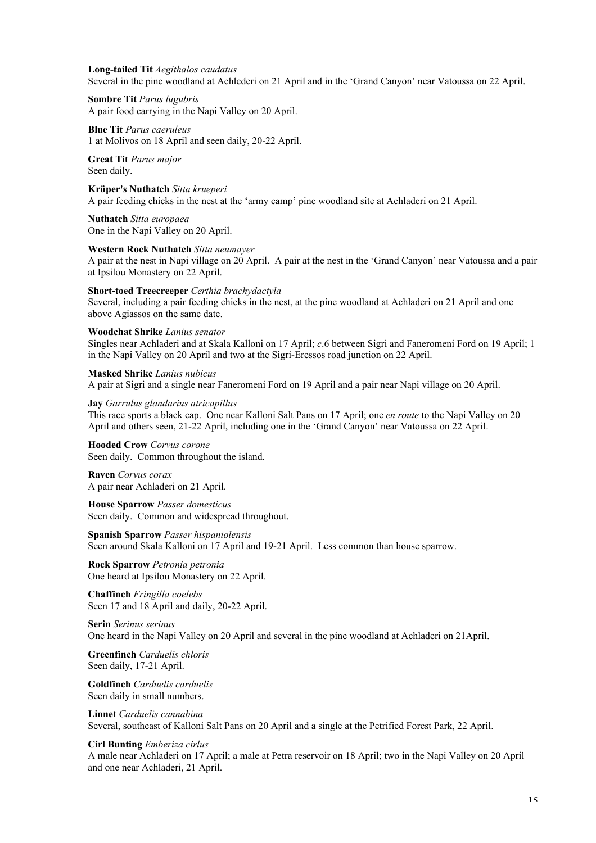### **Long-tailed Tit** *Aegithalos caudatus* Several in the pine woodland at Achlederi on 21 April and in the 'Grand Canyon' near Vatoussa on 22 April.

**Sombre Tit** *Parus lugubris* A pair food carrying in the Napi Valley on 20 April.

**Blue Tit** *Parus caeruleus* 1 at Molivos on 18 April and seen daily, 20-22 April.

**Great Tit** *Parus major* Seen daily.

**Krüper's Nuthatch** *Sitta krueperi* A pair feeding chicks in the nest at the 'army camp' pine woodland site at Achladeri on 21 April.

**Nuthatch** *Sitta europaea* One in the Napi Valley on 20 April.

### **Western Rock Nuthatch** *Sitta neumayer*

A pair at the nest in Napi village on 20 April. A pair at the nest in the 'Grand Canyon' near Vatoussa and a pair at Ipsilou Monastery on 22 April.

### **Short-toed Treecreeper** *Certhia brachydactyla*

Several, including a pair feeding chicks in the nest, at the pine woodland at Achladeri on 21 April and one above Agiassos on the same date.

### **Woodchat Shrike** *Lanius senator*

Singles near Achladeri and at Skala Kalloni on 17 April; *c*.6 between Sigri and Faneromeni Ford on 19 April; 1 in the Napi Valley on 20 April and two at the Sigri-Eressos road junction on 22 April.

### **Masked Shrike** *Lanius nubicus*

A pair at Sigri and a single near Faneromeni Ford on 19 April and a pair near Napi village on 20 April.

### **Jay** *Garrulus glandarius atricapillus*

This race sports a black cap. One near Kalloni Salt Pans on 17 April; one *en route* to the Napi Valley on 20 April and others seen, 21-22 April, including one in the 'Grand Canyon' near Vatoussa on 22 April.

**Hooded Crow** *Corvus corone* Seen daily. Common throughout the island.

**Raven** *Corvus corax* A pair near Achladeri on 21 April.

**House Sparrow** *Passer domesticus* Seen daily. Common and widespread throughout.

**Spanish Sparrow** *Passer hispaniolensis* Seen around Skala Kalloni on 17 April and 19-21 April. Less common than house sparrow.

**Rock Sparrow** *Petronia petronia* One heard at Ipsilou Monastery on 22 April.

**Chaffinch** *Fringilla coelebs* Seen 17 and 18 April and daily, 20-22 April.

**Serin** *Serinus serinus* One heard in the Napi Valley on 20 April and several in the pine woodland at Achladeri on 21April.

**Greenfinch** *Carduelis chloris* Seen daily, 17-21 April.

**Goldfinch** *Carduelis carduelis* Seen daily in small numbers.

**Linnet** *Carduelis cannabina* Several, southeast of Kalloni Salt Pans on 20 April and a single at the Petrified Forest Park, 22 April.

### **Cirl Bunting** *Emberiza cirlus*

A male near Achladeri on 17 April; a male at Petra reservoir on 18 April; two in the Napi Valley on 20 April and one near Achladeri, 21 April.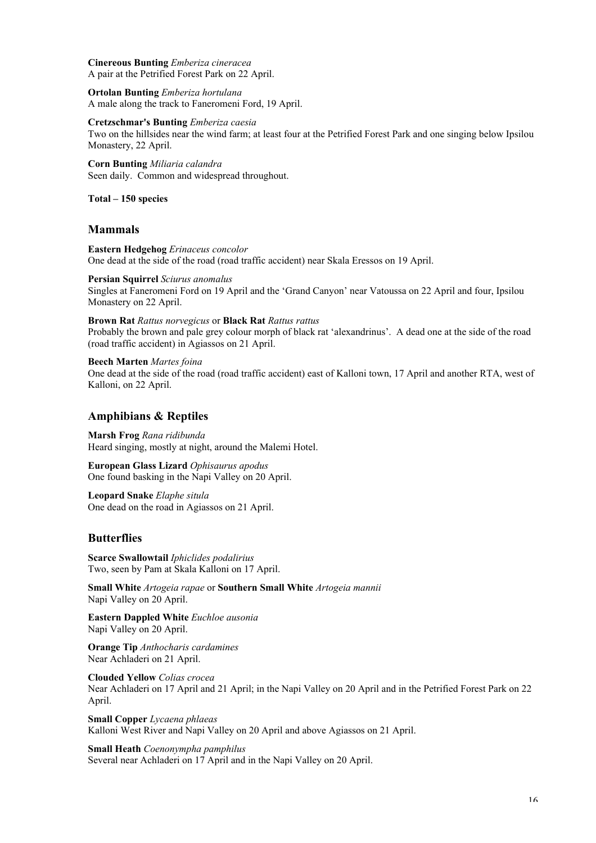**Cinereous Bunting** *Emberiza cineracea* A pair at the Petrified Forest Park on 22 April.

**Ortolan Bunting** *Emberiza hortulana* A male along the track to Faneromeni Ford, 19 April.

### **Cretzschmar's Bunting** *Emberiza caesia*

Two on the hillsides near the wind farm; at least four at the Petrified Forest Park and one singing below Ipsilou Monastery, 22 April.

**Corn Bunting** *Miliaria calandra* Seen daily. Common and widespread throughout.

**Total – 150 species**

### **Mammals**

**Eastern Hedgehog** *Erinaceus concolor* One dead at the side of the road (road traffic accident) near Skala Eressos on 19 April.

### **Persian Squirrel** *Sciurus anomalus*

Singles at Faneromeni Ford on 19 April and the 'Grand Canyon' near Vatoussa on 22 April and four, Ipsilou Monastery on 22 April.

### **Brown Rat** *Rattus norvegicus* or **Black Rat** *Rattus rattus*

Probably the brown and pale grey colour morph of black rat 'alexandrinus'. A dead one at the side of the road (road traffic accident) in Agiassos on 21 April.

### **Beech Marten** *Martes foina*

One dead at the side of the road (road traffic accident) east of Kalloni town, 17 April and another RTA, west of Kalloni, on 22 April.

## **Amphibians & Reptiles**

**Marsh Frog** *Rana ridibunda* Heard singing, mostly at night, around the Malemi Hotel.

**European Glass Lizard** *Ophisaurus apodus* One found basking in the Napi Valley on 20 April.

**Leopard Snake** *Elaphe situla* One dead on the road in Agiassos on 21 April.

# **Butterflies**

**Scarce Swallowtail** *Iphiclides podalirius* Two, seen by Pam at Skala Kalloni on 17 April.

**Small White** *Artogeia rapae* or **Southern Small White** *Artogeia mannii* Napi Valley on 20 April.

**Eastern Dappled White** *Euchloe ausonia* Napi Valley on 20 April.

**Orange Tip** *Anthocharis cardamines* Near Achladeri on 21 April.

**Clouded Yellow** *Colias crocea* Near Achladeri on 17 April and 21 April; in the Napi Valley on 20 April and in the Petrified Forest Park on 22 April.

**Small Copper** *Lycaena phlaeas* Kalloni West River and Napi Valley on 20 April and above Agiassos on 21 April.

### **Small Heath** *Coenonympha pamphilus*

Several near Achladeri on 17 April and in the Napi Valley on 20 April.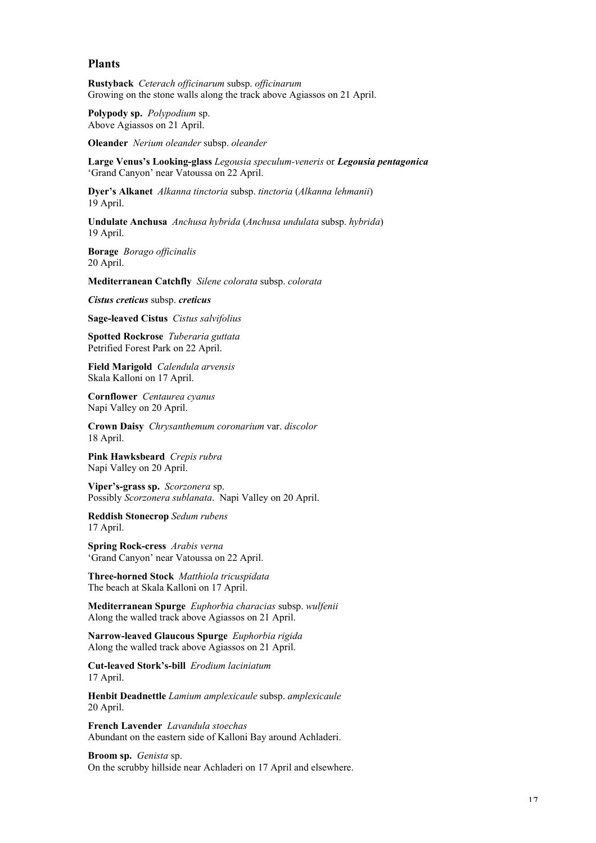# **Plants**

**Rustyback** *Ceterach officinarum* subsp. *officinarum* Growing on the stone walls along the track above Agiassos on 21 April.

**Polypody sp.** *Polypodium* sp. Above Agiassos on 21 April.

**Oleander** *Nerium oleander* subsp. *oleander*

**Large Venus's Looking-glass** *Legousia speculum-veneris* or *Legousia pentagonica* 'Grand Canyon' near Vatoussa on 22 April.

**Dyer's Alkanet** *Alkanna tinctoria* subsp. *tinctoria* (*Alkanna lehmanii*) 19 April.

**Undulate Anchusa** *Anchusa hybrida* (*Anchusa undulata* subsp. *hybrida*) 19 April.

**Borage** *Borago officinalis* 20 April.

**Mediterranean Catchfly** *Silene colorata* subsp. *colorata*

*Cistus creticus* subsp. *creticus*

**Sage-leaved Cistus** *Cistus salvifolius*

**Spotted Rockrose** *Tuberaria guttata* Petrified Forest Park on 22 April.

**Field Marigold** *Calendula arvensis* Skala Kalloni on 17 April.

**Cornflower** *Centaurea cyanus* Napi Valley on 20 April.

**Crown Daisy** *Chrysanthemum coronarium* var. *discolor* 18 April.

**Pink Hawksbeard** *Crepis rubra* Napi Valley on 20 April.

**Viper's-grass sp.** *Scorzonera* sp. Possibly *Scorzonera sublanata*. Napi Valley on 20 April.

**Reddish Stonecrop** *Sedum rubens* 17 April.

**Spring Rock-cress** *Arabis verna* 'Grand Canyon' near Vatoussa on 22 April.

**Three-horned Stock** *Matthiola tricuspidata* The beach at Skala Kalloni on 17 April.

**Mediterranean Spurge** *Euphorbia characias* subsp. *wulfenii* Along the walled track above Agiassos on 21 April.

**Narrow-leaved Glaucous Spurge** *Euphorbia rigida* Along the walled track above Agiassos on 21 April.

**Cut-leaved Stork's-bill** *Erodium laciniatum* 17 April.

**Henbit Deadnettle** *Lamium amplexicaule* subsp. *amplexicaule* 20 April.

**French Lavender** *Lavandula stoechas* Abundant on the eastern side of Kalloni Bay around Achladeri.

**Broom sp.** *Genista* sp. On the scrubby hillside near Achladeri on 17 April and elsewhere.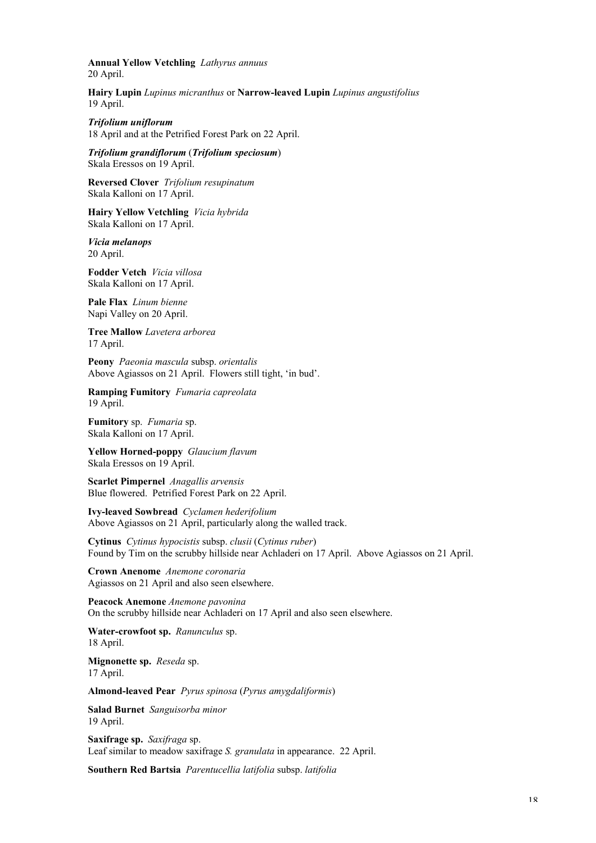**Annual Yellow Vetchling** *Lathyrus annuus* 20 April.

**Hairy Lupin** *Lupinus micranthus* or **Narrow-leaved Lupin** *Lupinus angustifolius* 19 April.

*Trifolium uniflorum*

18 April and at the Petrified Forest Park on 22 April.

*Trifolium grandiflorum* (*Trifolium speciosum*) Skala Eressos on 19 April.

**Reversed Clover** *Trifolium resupinatum* Skala Kalloni on 17 April.

**Hairy Yellow Vetchling** *Vicia hybrida* Skala Kalloni on 17 April.

*Vicia melanops* 20 April.

**Fodder Vetch** *Vicia villosa* Skala Kalloni on 17 April.

**Pale Flax** *Linum bienne* Napi Valley on 20 April.

**Tree Mallow** *Lavetera arborea* 17 April.

**Peony** *Paeonia mascula* subsp. *orientalis* Above Agiassos on 21 April. Flowers still tight, 'in bud'.

**Ramping Fumitory** *Fumaria capreolata* 19 April.

**Fumitory** sp. *Fumaria* sp. Skala Kalloni on 17 April.

**Yellow Horned-poppy** *Glaucium flavum* Skala Eressos on 19 April.

**Scarlet Pimpernel** *Anagallis arvensis* Blue flowered. Petrified Forest Park on 22 April.

**Ivy-leaved Sowbread** *Cyclamen hederifolium* Above Agiassos on 21 April, particularly along the walled track.

**Cytinus** *Cytinus hypocistis* subsp. *clusii* (*Cytinus ruber*) Found by Tim on the scrubby hillside near Achladeri on 17 April. Above Agiassos on 21 April.

**Crown Anenome** *Anemone coronaria* Agiassos on 21 April and also seen elsewhere.

**Peacock Anemone** *Anemone pavonina* On the scrubby hillside near Achladeri on 17 April and also seen elsewhere.

**Water-crowfoot sp.** *Ranunculus* sp. 18 April.

**Mignonette sp.** *Reseda* sp. 17 April.

**Almond-leaved Pear** *Pyrus spinosa* (*Pyrus amygdaliformis*)

**Salad Burnet** *Sanguisorba minor* 19 April.

**Saxifrage sp.** *Saxifraga* sp. Leaf similar to meadow saxifrage *S. granulata* in appearance. 22 April.

**Southern Red Bartsia** *Parentucellia latifolia* subsp. *latifolia*